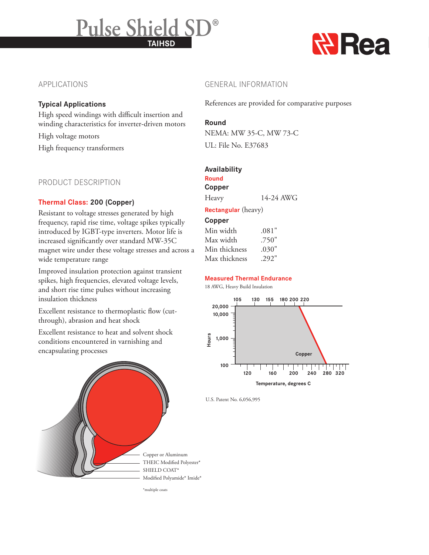# **TAIHSD Pulse Shield SD®**



# APPLICATIONS

### **Typical Applications**

High speed windings with difficult insertion and winding characteristics for inverter-driven motors

High voltage motors

High frequency transformers

### PRODUCT DESCRIPTION

### **Thermal Class: 200 (Copper)**

Resistant to voltage stresses generated by high frequency, rapid rise time, voltage spikes typically introduced by IGBT-type inverters. Motor life is increased significantly over standard MW-35C magnet wire under these voltage stresses and across a wide temperature range

Improved insulation protection against transient spikes, high frequencies, elevated voltage levels, and short rise time pulses without increasing insulation thickness

Excellent resistance to thermoplastic flow (cutthrough), abrasion and heat shock

Excellent resistance to heat and solvent shock conditions encountered in varnishing and encapsulating processes



GENERAL INFORMATION

References are provided for comparative purposes

# **Round**

NEMA: MW 35-C, MW 73-C UL: File No. E37683

# **Availability**

#### **Round Copper**

Heavy 14-24 AWG

**Rectangular** (heavy)

### **Copper**

| Min width     | .081" |
|---------------|-------|
| Max width     | .750" |
| Min thickness | .030" |
| Max thickness | .292" |

### **Measured Thermal Endurance**

18 AWG, Heavy Build Insulation



U.S. Patent No. 6,056,995

THEIC Modified Polyester\* Modified Polyamide\* Imide\*

\*multiple coats